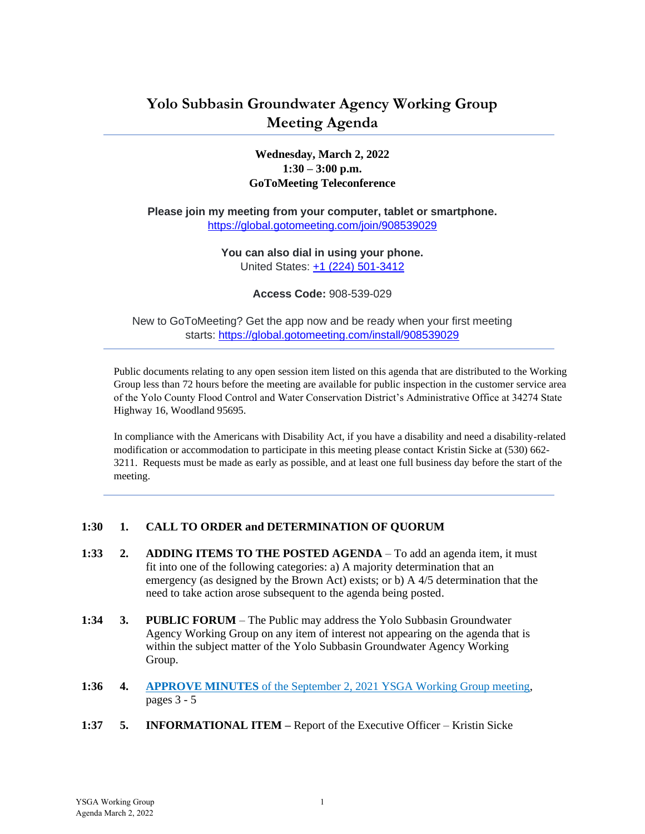## **Yolo Subbasin Groundwater Agency Working Group Meeting Agenda**

### **Wednesday, March 2, 2022 1:30 – 3:00 p.m. GoToMeeting Teleconference**

**Please join my meeting from your computer, tablet or smartphone.** <https://global.gotomeeting.com/join/908539029>

> **You can also dial in using your phone.** United States: [+1 \(224\) 501-3412](tel:+12245013412,,908539029)

> > **Access Code:** 908-539-029

New to GoToMeeting? Get the app now and be ready when your first meeting starts: <https://global.gotomeeting.com/install/908539029>

Public documents relating to any open session item listed on this agenda that are distributed to the Working Group less than 72 hours before the meeting are available for public inspection in the customer service area of the Yolo County Flood Control and Water Conservation District's Administrative Office at 34274 State Highway 16, Woodland 95695.

In compliance with the Americans with Disability Act, if you have a disability and need a disability-related modification or accommodation to participate in this meeting please contact Kristin Sicke at (530) 662- 3211. Requests must be made as early as possible, and at least one full business day before the start of the meeting.

#### **1:30 1. CALL TO ORDER and DETERMINATION OF QUORUM**

- **1:33 2. ADDING ITEMS TO THE POSTED AGENDA** To add an agenda item, it must fit into one of the following categories: a) A majority determination that an emergency (as designed by the Brown Act) exists; or b) A 4/5 determination that the need to take action arose subsequent to the agenda being posted.
- **1:34 3. PUBLIC FORUM** The Public may address the Yolo Subbasin Groundwater Agency Working Group on any item of interest not appearing on the agenda that is within the subject matter of the Yolo Subbasin Groundwater Agency Working Group.
- **1:36 4. APPROVE MINUTES** of the September 2, 2021 [YSGA Working Group meeting,](#page-2-0) pages 3 - 5
- **1:37 5. INFORMATIONAL ITEM –** Report of the Executive Officer Kristin Sicke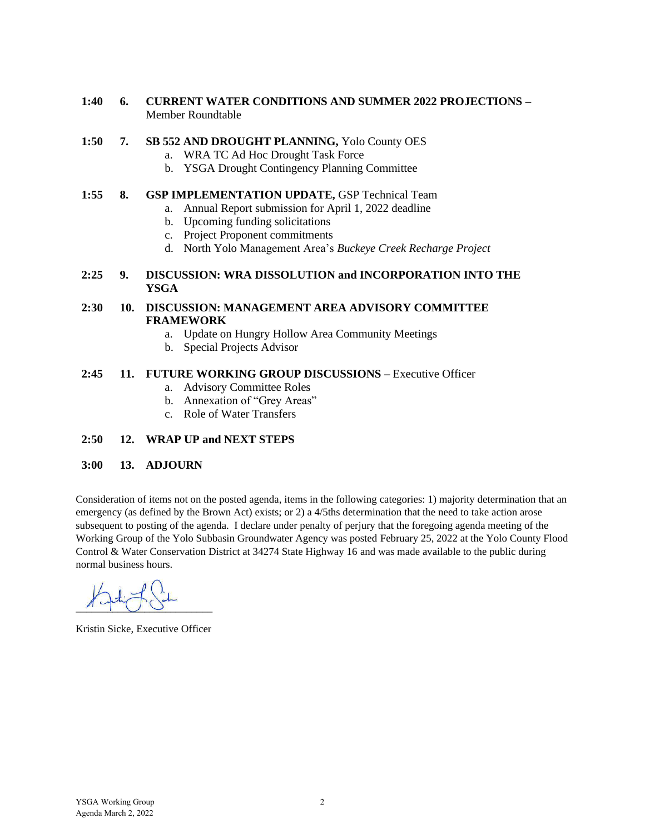#### **1:40 6. CURRENT WATER CONDITIONS AND SUMMER 2022 PROJECTIONS –** Member Roundtable

#### **1:50 7. SB 552 AND DROUGHT PLANNING,** Yolo County OES

- a. WRA TC Ad Hoc Drought Task Force
- b. YSGA Drought Contingency Planning Committee

#### **1:55 8. GSP IMPLEMENTATION UPDATE,** GSP Technical Team

- a. Annual Report submission for April 1, 2022 deadline
- b. Upcoming funding solicitations
- c. Project Proponent commitments
- d. North Yolo Management Area's *Buckeye Creek Recharge Project*

#### **2:25 9. DISCUSSION: WRA DISSOLUTION and INCORPORATION INTO THE YSGA**

#### **2:30 10. DISCUSSION: MANAGEMENT AREA ADVISORY COMMITTEE FRAMEWORK**

- a. Update on Hungry Hollow Area Community Meetings
- b. Special Projects Advisor

#### **2:45 11. FUTURE WORKING GROUP DISCUSSIONS –** Executive Officer

- a. Advisory Committee Roles
- b. Annexation of "Grey Areas"
- c. Role of Water Transfers

#### **2:50 12. WRAP UP and NEXT STEPS**

#### **3:00 13. ADJOURN**

Consideration of items not on the posted agenda, items in the following categories: 1) majority determination that an emergency (as defined by the Brown Act) exists; or 2) a 4/5ths determination that the need to take action arose subsequent to posting of the agenda. I declare under penalty of perjury that the foregoing agenda meeting of the Working Group of the Yolo Subbasin Groundwater Agency was posted February 25, 2022 at the Yolo County Flood Control & Water Conservation District at 34274 State Highway 16 and was made available to the public during normal business hours.

 $\underline{\mathcal{A}}$ 

Kristin Sicke, Executive Officer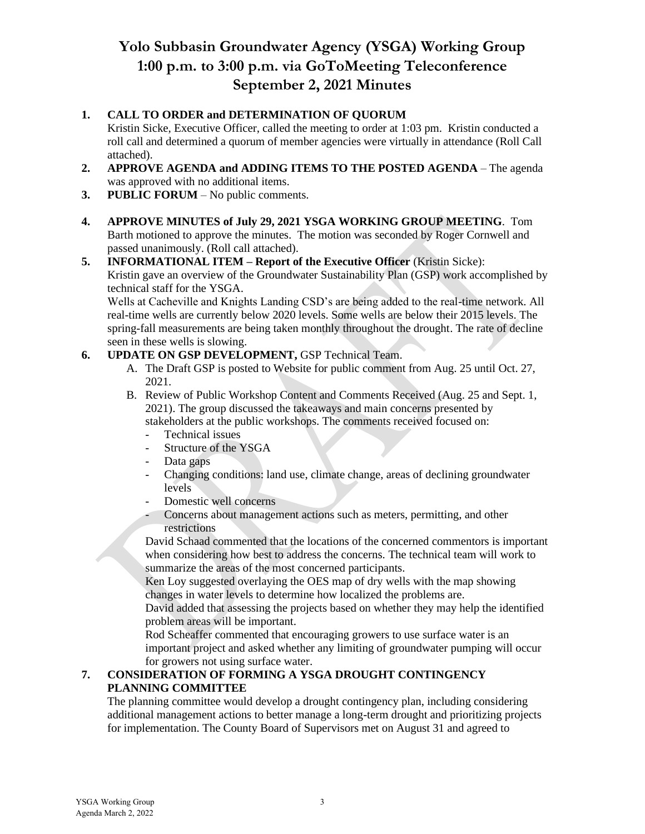## **Yolo Subbasin Groundwater Agency (YSGA) Working Group 1:00 p.m. to 3:00 p.m. via GoToMeeting Teleconference September 2, 2021 Minutes**

## <span id="page-2-0"></span>**1. CALL TO ORDER and DETERMINATION OF QUORUM**

Kristin Sicke, Executive Officer, called the meeting to order at 1:03 pm. Kristin conducted a roll call and determined a quorum of member agencies were virtually in attendance (Roll Call attached).

- **2. APPROVE AGENDA and ADDING ITEMS TO THE POSTED AGENDA** The agenda was approved with no additional items.
- **3. PUBLIC FORUM** No public comments.
- **4. APPROVE MINUTES of July 29, 2021 YSGA WORKING GROUP MEETING**. Tom Barth motioned to approve the minutes. The motion was seconded by Roger Cornwell and passed unanimously. (Roll call attached).

### **5. INFORMATIONAL ITEM – Report of the Executive Officer** (Kristin Sicke): Kristin gave an overview of the Groundwater Sustainability Plan (GSP) work accomplished by technical staff for the YSGA.

Wells at Cacheville and Knights Landing CSD's are being added to the real-time network. All real-time wells are currently below 2020 levels. Some wells are below their 2015 levels. The spring-fall measurements are being taken monthly throughout the drought. The rate of decline seen in these wells is slowing.

### **6. UPDATE ON GSP DEVELOPMENT,** GSP Technical Team.

- A. The Draft GSP is posted to Website for public comment from Aug. 25 until Oct. 27, 2021.
- B. Review of Public Workshop Content and Comments Received (Aug. 25 and Sept. 1, 2021). The group discussed the takeaways and main concerns presented by stakeholders at the public workshops. The comments received focused on:
	- Technical issues
	- Structure of the YSGA
	- Data gaps
	- Changing conditions: land use, climate change, areas of declining groundwater levels
	- Domestic well concerns
	- Concerns about management actions such as meters, permitting, and other restrictions

David Schaad commented that the locations of the concerned commentors is important when considering how best to address the concerns. The technical team will work to summarize the areas of the most concerned participants.

Ken Loy suggested overlaying the OES map of dry wells with the map showing changes in water levels to determine how localized the problems are.

David added that assessing the projects based on whether they may help the identified problem areas will be important.

Rod Scheaffer commented that encouraging growers to use surface water is an important project and asked whether any limiting of groundwater pumping will occur for growers not using surface water.

## **7. CONSIDERATION OF FORMING A YSGA DROUGHT CONTINGENCY PLANNING COMMITTEE**

The planning committee would develop a drought contingency plan, including considering additional management actions to better manage a long-term drought and prioritizing projects for implementation. The County Board of Supervisors met on August 31 and agreed to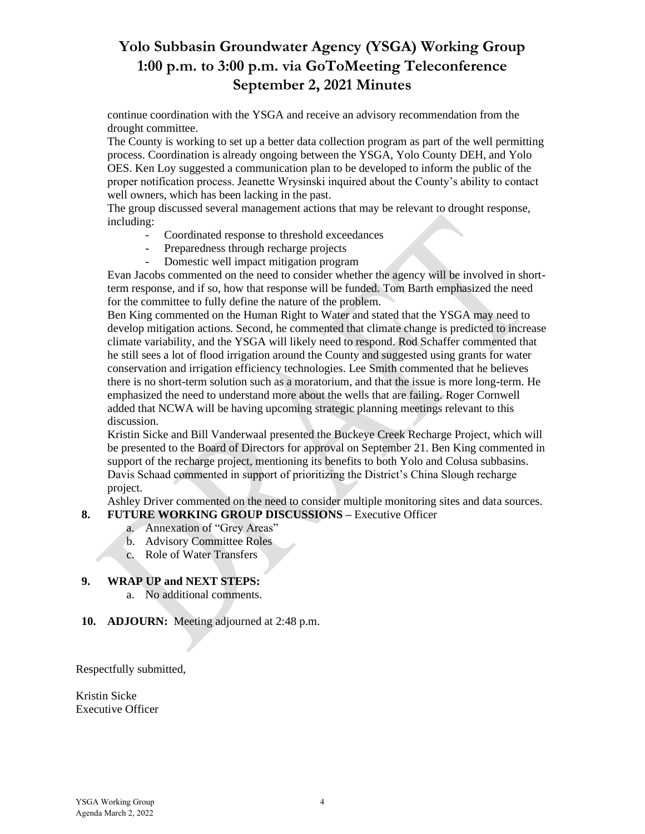## **Yolo Subbasin Groundwater Agency (YSGA) Working Group 1:00 p.m. to 3:00 p.m. via GoToMeeting Teleconference September 2, 2021 Minutes**

continue coordination with the YSGA and receive an advisory recommendation from the drought committee.

The County is working to set up a better data collection program as part of the well permitting process. Coordination is already ongoing between the YSGA, Yolo County DEH, and Yolo OES. Ken Loy suggested a communication plan to be developed to inform the public of the proper notification process. Jeanette Wrysinski inquired about the County's ability to contact well owners, which has been lacking in the past.

The group discussed several management actions that may be relevant to drought response, including:

- Coordinated response to threshold exceedances
- Preparedness through recharge projects
- Domestic well impact mitigation program

Evan Jacobs commented on the need to consider whether the agency will be involved in shortterm response, and if so, how that response will be funded. Tom Barth emphasized the need for the committee to fully define the nature of the problem.

Ben King commented on the Human Right to Water and stated that the YSGA may need to develop mitigation actions. Second, he commented that climate change is predicted to increase climate variability, and the YSGA will likely need to respond. Rod Schaffer commented that he still sees a lot of flood irrigation around the County and suggested using grants for water conservation and irrigation efficiency technologies. Lee Smith commented that he believes there is no short-term solution such as a moratorium, and that the issue is more long-term. He emphasized the need to understand more about the wells that are failing. Roger Cornwell added that NCWA will be having upcoming strategic planning meetings relevant to this discussion.

Kristin Sicke and Bill Vanderwaal presented the Buckeye Creek Recharge Project, which will be presented to the Board of Directors for approval on September 21. Ben King commented in support of the recharge project, mentioning its benefits to both Yolo and Colusa subbasins. Davis Schaad commented in support of prioritizing the District's China Slough recharge project.

Ashley Driver commented on the need to consider multiple monitoring sites and data sources. **8. FUTURE WORKING GROUP DISCUSSIONS –** Executive Officer

- a. Annexation of "Grey Areas"
- b. Advisory Committee Roles
- c. Role of Water Transfers

#### **9. WRAP UP and NEXT STEPS:**

- a. No additional comments.
- **10. ADJOURN:** Meeting adjourned at 2:48 p.m.

Respectfully submitted,

Kristin Sicke Executive Officer